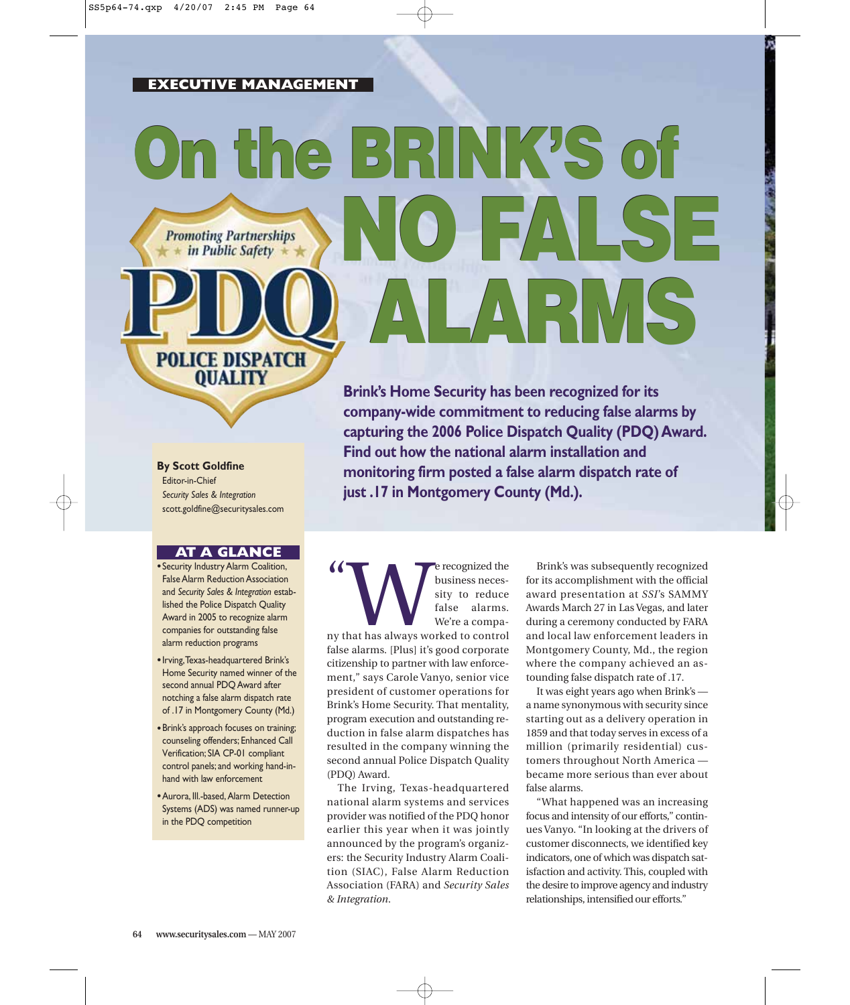## **EXECUTIVE MANAGEMENT**

# **On the BRINK'S of On the BRINK'S of NO FALSE Promoting Partnerships** in Public Safety **ALARMS POLICE DISPATCH**

**By Scott Goldfine**

Editor-in-Chief *Security Sales & Integration* scott.goldfine@securitysales.com

**QUALITY** 

#### **AT A GLANCE**

- •Security Industry Alarm Coalition, False Alarm Reduction Association and *Security Sales & Integration* established the Police Dispatch Quality Award in 2005 to recognize alarm companies for outstanding false alarm reduction programs
- •Irving,Texas-headquartered Brink's Home Security named winner of the second annual PDQ Award after notching a false alarm dispatch rate of .17 in Montgomery County (Md.)
- •Brink's approach focuses on training; counseling offenders; Enhanced Call Verification; SIA CP-01 compliant control panels; and working hand-inhand with law enforcement
- •Aurora, Ill.-based, Alarm Detection Systems (ADS) was named runner-up in the PDQ competition

**Brink's Home Security has been recognized for its company-wide commitment to reducing false alarms by capturing the 2006 Police Dispatch Quality (PDQ) Award. Find out how the national alarm installation and monitoring firm posted a false alarm dispatch rate of just .17 in Montgomery County (Md.).**

 $\alpha$ Example 1 and the Universe of the Susiness necessity to reduce false alarms.<br>
Note that has always worked to control we're a compabusiness necessity to reduce false alarms. We're a compafalse alarms. [Plus] it's good corporate citizenship to partner with law enforcement," says Carole Vanyo, senior vice president of customer operations for Brink's Home Security. That mentality, program execution and outstanding reduction in false alarm dispatches has resulted in the company winning the second annual Police Dispatch Quality (PDQ) Award.

The Irving, Texas-headquartered national alarm systems and services provider was notified of the PDQ honor earlier this year when it was jointly announced by the program's organizers: the Security Industry Alarm Coalition (SIAC), False Alarm Reduction Association (FARA) and *Security Sales & Integration*.

Brink's was subsequently recognized for its accomplishment with the official award presentation at *SSI*'s SAMMY Awards March 27 in Las Vegas, and later during a ceremony conducted by FARA and local law enforcement leaders in Montgomery County, Md., the region where the company achieved an astounding false dispatch rate of .17.

It was eight years ago when Brink's a name synonymous with security since starting out as a delivery operation in 1859 and that today serves in excess of a million (primarily residential) customers throughout North America became more serious than ever about false alarms.

"What happened was an increasing focus and intensity of our efforts," continues Vanyo. "In looking at the drivers of customer disconnects, we identified key indicators, one of which was dispatch satisfaction and activity. This, coupled with the desire to improve agency and industry relationships, intensified our efforts."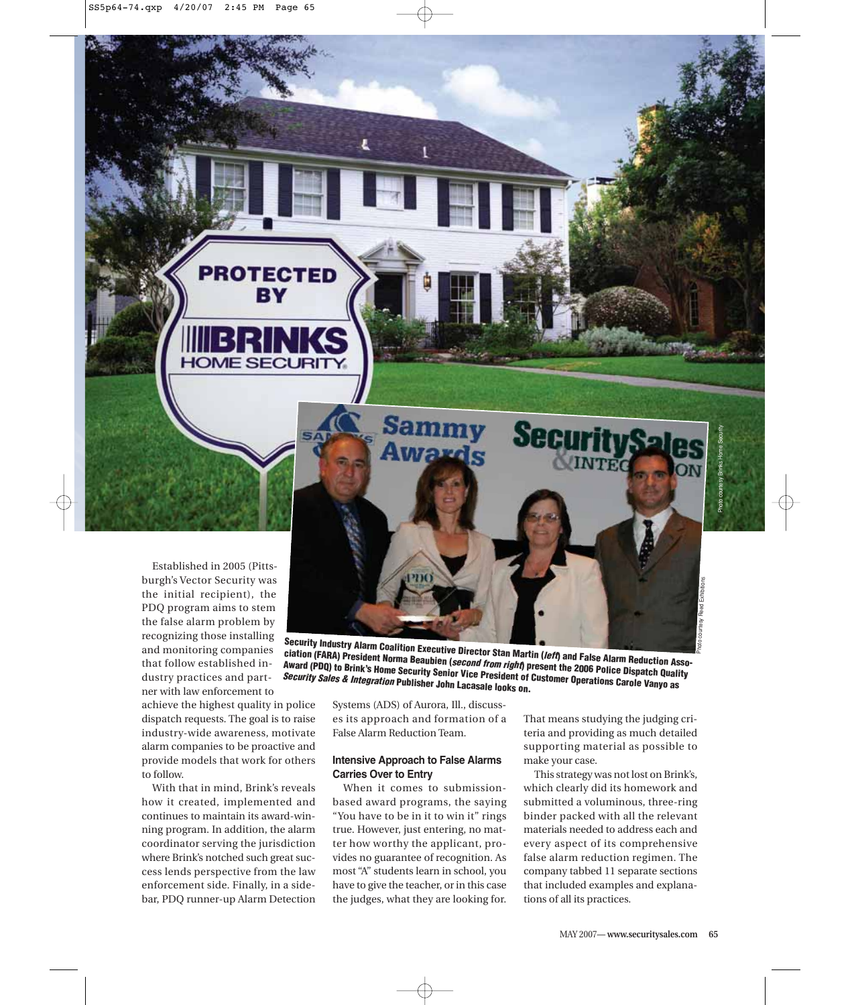

achieve the highest quality in police dispatch requests. The goal is to raise industry-wide awareness, motivate alarm companies to be proactive and provide models that work for others to follow.

**PROTECTED** BY

**HOME SECURITY** 

With that in mind, Brink's reveals how it created, implemented and continues to maintain its award-winning program. In addition, the alarm coordinator serving the jurisdiction where Brink's notched such great success lends perspective from the law enforcement side. Finally, in a sidebar, PDQ runner-up Alarm Detection

Systems (ADS) of Aurora, Ill., discusses its approach and formation of a False Alarm Reduction Team.

**Security Sales & Integration Publisher John Lacasale looks on.**

**Security Industry Alarm Coalition Executive Director Stan Martin (left) and False Alarm Reduction Asso**ciation (FARA) President Vantion Executive Director Stan Martin (*left*) and False Alarm Reduction Association<br>Award (PDQ) to Brink's Home Security Senior Vice President of Customer Operation Oispatch Quality<br>Security Sale **Award (PDQ) to Brink's Home Security Senior Vice President of Customer Operations Carole Vanyo as**

**Securi** 

#### **Intensive Approach to False Alarms Carries Over to Entry**

When it comes to submissionbased award programs, the saying "You have to be in it to win it" rings true. However, just entering, no matter how worthy the applicant, provides no guarantee of recognition. As most "A" students learn in school, you have to give the teacher, or in this case the judges, what they are looking for. That means studying the judging criteria and providing as much detailed supporting material as possible to make your case.

This strategy was not lost on Brink's, which clearly did its homework and submitted a voluminous, three-ring binder packed with all the relevant materials needed to address each and every aspect of its comprehensive false alarm reduction regimen. The company tabbed 11 separate sections that included examples and explanations of all its practices.

Photo courtesy Reed Exhibitions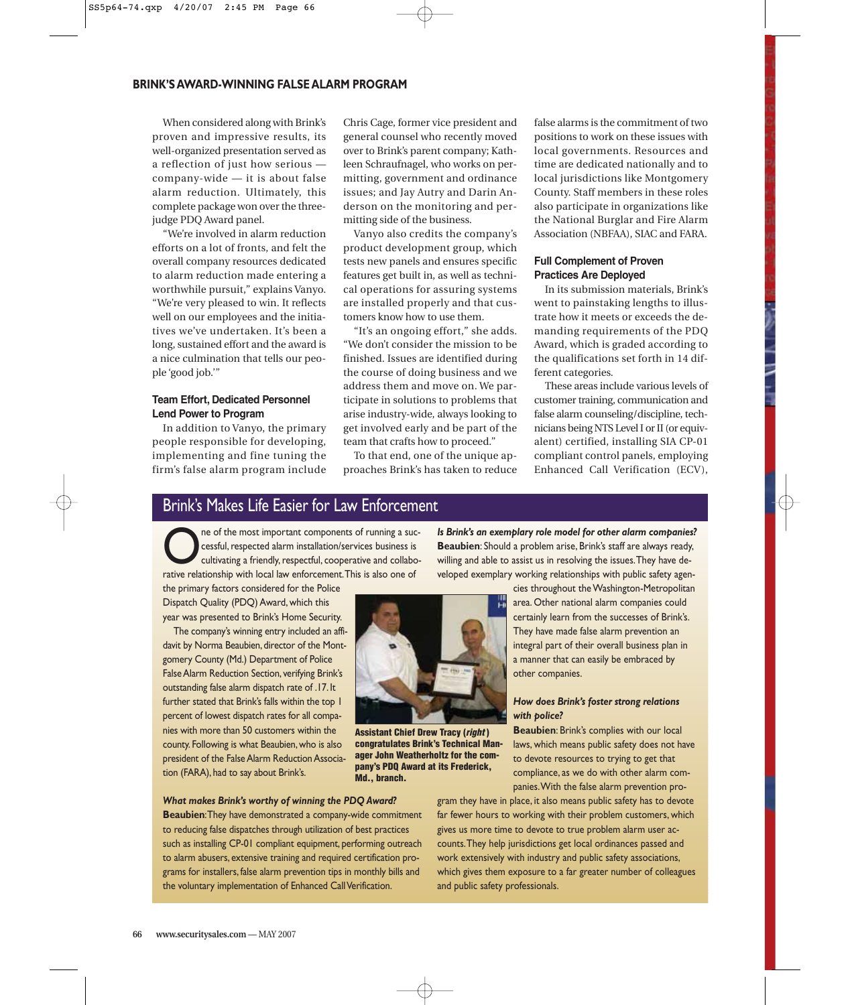#### **BRINK'S AWARD-WINNING FALSE ALARM PROGRAM**

When considered along with Brink's proven and impressive results, its well-organized presentation served as a reflection of just how serious company-wide — it is about false alarm reduction. Ultimately, this complete package won over the threejudge PDQ Award panel.

"We're involved in alarm reduction efforts on a lot of fronts, and felt the overall company resources dedicated to alarm reduction made entering a worthwhile pursuit," explains Vanyo. "We're very pleased to win. It reflects well on our employees and the initiatives we've undertaken. It's been a long, sustained effort and the award is a nice culmination that tells our people 'good job.'"

#### **Team Effort, Dedicated Personnel Lend Power to Program**

In addition to Vanyo, the primary people responsible for developing, implementing and fine tuning the firm's false alarm program include Chris Cage, former vice president and general counsel who recently moved over to Brink's parent company; Kathleen Schraufnagel, who works on permitting, government and ordinance issues; and Jay Autry and Darin Anderson on the monitoring and permitting side of the business.

Vanyo also credits the company's product development group, which tests new panels and ensures specific features get built in, as well as technical operations for assuring systems are installed properly and that customers know how to use them.

"It's an ongoing effort," she adds. "We don't consider the mission to be finished. Issues are identified during the course of doing business and we address them and move on. We participate in solutions to problems that arise industry-wide, always looking to get involved early and be part of the team that crafts how to proceed."

To that end, one of the unique approaches Brink's has taken to reduce

false alarms is the commitment of two positions to work on these issues with local governments. Resources and time are dedicated nationally and to local jurisdictions like Montgomery County. Staff members in these roles also participate in organizations like the National Burglar and Fire Alarm Association (NBFAA), SIAC and FARA.

#### **Full Complement of Proven Practices Are Deployed**

In its submission materials, Brink's went to painstaking lengths to illustrate how it meets or exceeds the demanding requirements of the PDQ Award, which is graded according to the qualifications set forth in 14 different categories.

These areas include various levels of customer training, communication and false alarm counseling/discipline, technicians being NTS Level I or II (or equivalent) certified, installing SIA CP-01 compliant control panels, employing Enhanced Call Verification (ECV),

# Brink's Makes Life Easier for Law Enforcement

The of the most important components of running a suc-<br>
cultivating a friendly, respectful, cooperative and collabo-<br>
cultivating a friendly, respectful, cooperative and collabo-<br>
cultivating in the local law enforcement. cessful, respected alarm installation/services business is rative relationship with local law enforcement.This is also one of

the primary factors considered for the Police Dispatch Quality (PDQ) Award, which this year was presented to Brink's Home Security.

The company's winning entry included an affidavit by Norma Beaubien, director of the Montgomery County (Md.) Department of Police False Alarm Reduction Section, verifying Brink's outstanding false alarm dispatch rate of .17. It further stated that Brink's falls within the top 1 percent of lowest dispatch rates for all companies with more than 50 customers within the county. Following is what Beaubien, who is also president of the False Alarm Reduction Association (FARA), had to say about Brink's.

#### *What makes Brink's worthy of winning the PDQ Award?*

**Beaubien**:They have demonstrated a company-wide commitment to reducing false dispatches through utilization of best practices such as installing CP-01 compliant equipment, performing outreach to alarm abusers, extensive training and required certification programs for installers, false alarm prevention tips in monthly bills and the voluntary implementation of Enhanced Call Verification.

*Is Brink's an exemplary role model for other alarm companies?* **Beaubien**: Should a problem arise, Brink's staff are always ready, willing and able to assist us in resolving the issues.They have developed exemplary working relationships with public safety agen-

> cies throughout the Washington-Metropolitan area. Other national alarm companies could certainly learn from the successes of Brink's. They have made false alarm prevention an integral part of their overall business plan in a manner that can easily be embraced by other companies.

#### *How does Brink's foster strong relations with police?*

**Beaubien**: Brink's complies with our local laws, which means public safety does not have to devote resources to trying to get that compliance, as we do with other alarm companies.With the false alarm prevention pro-

gram they have in place, it also means public safety has to devote far fewer hours to working with their problem customers, which gives us more time to devote to true problem alarm user accounts.They help jurisdictions get local ordinances passed and work extensively with industry and public safety associations, which gives them exposure to a far greater number of colleagues and public safety professionals.



**Assistant Chief Drew Tracy (right ) congratulates Brink's Technical Manager John Weatherholtz for the company's PDQ Award at its Frederick, Md., branch.**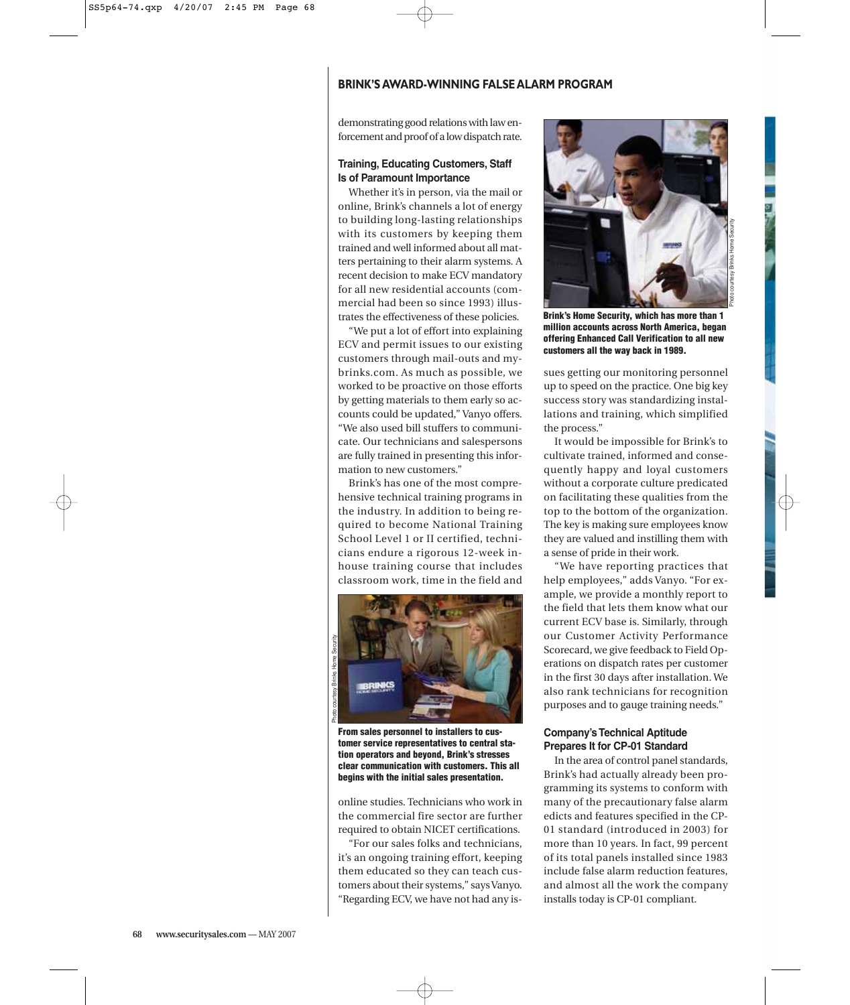### **BRINK'S AWARD-WINNING FALSE ALARM PROGRAM**

demonstrating good relations with law enforcement and proof of a low dispatch rate.

#### **Training, Educating Customers, Staff Is of Paramount Importance**

Whether it's in person, via the mail or online, Brink's channels a lot of energy to building long-lasting relationships with its customers by keeping them trained and well informed about all matters pertaining to their alarm systems. A recent decision to make ECV mandatory for all new residential accounts (commercial had been so since 1993) illustrates the effectiveness of these policies.

"We put a lot of effort into explaining ECV and permit issues to our existing customers through mail-outs and mybrinks.com. As much as possible, we worked to be proactive on those efforts by getting materials to them early so accounts could be updated," Vanyo offers. "We also used bill stuffers to communicate. Our technicians and salespersons are fully trained in presenting this information to new customers."

Brink's has one of the most comprehensive technical training programs in the industry. In addition to being required to become National Training School Level 1 or II certified, technicians endure a rigorous 12-week inhouse training course that includes classroom work, time in the field and



**From sales personnel to installers to customer service representatives to central station operators and beyond, Brink's stresses clear communication with customers. This all begins with the initial sales presentation.** 

online studies. Technicians who work in the commercial fire sector are further required to obtain NICET certifications.

"For our sales folks and technicians, it's an ongoing training effort, keeping them educated so they can teach customers about their systems," says Vanyo. "Regarding ECV, we have not had any is-



**Brink's Home Security, which has more than 1 million accounts across North America, began offering Enhanced Call Verification to all new customers all the way back in 1989.**

sues getting our monitoring personnel up to speed on the practice. One big key success story was standardizing installations and training, which simplified the process."

It would be impossible for Brink's to cultivate trained, informed and consequently happy and loyal customers without a corporate culture predicated on facilitating these qualities from the top to the bottom of the organization. The key is making sure employees know they are valued and instilling them with a sense of pride in their work.

"We have reporting practices that help employees," adds Vanyo. "For example, we provide a monthly report to the field that lets them know what our current ECV base is. Similarly, through our Customer Activity Performance Scorecard, we give feedback to Field Operations on dispatch rates per customer in the first 30 days after installation. We also rank technicians for recognition purposes and to gauge training needs."

#### **Company's Technical Aptitude Prepares It for CP-01 Standard**

In the area of control panel standards, Brink's had actually already been programming its systems to conform with many of the precautionary false alarm edicts and features specified in the CP-01 standard (introduced in 2003) for more than 10 years. In fact, 99 percent of its total panels installed since 1983 include false alarm reduction features, and almost all the work the company installs today is CP-01 compliant.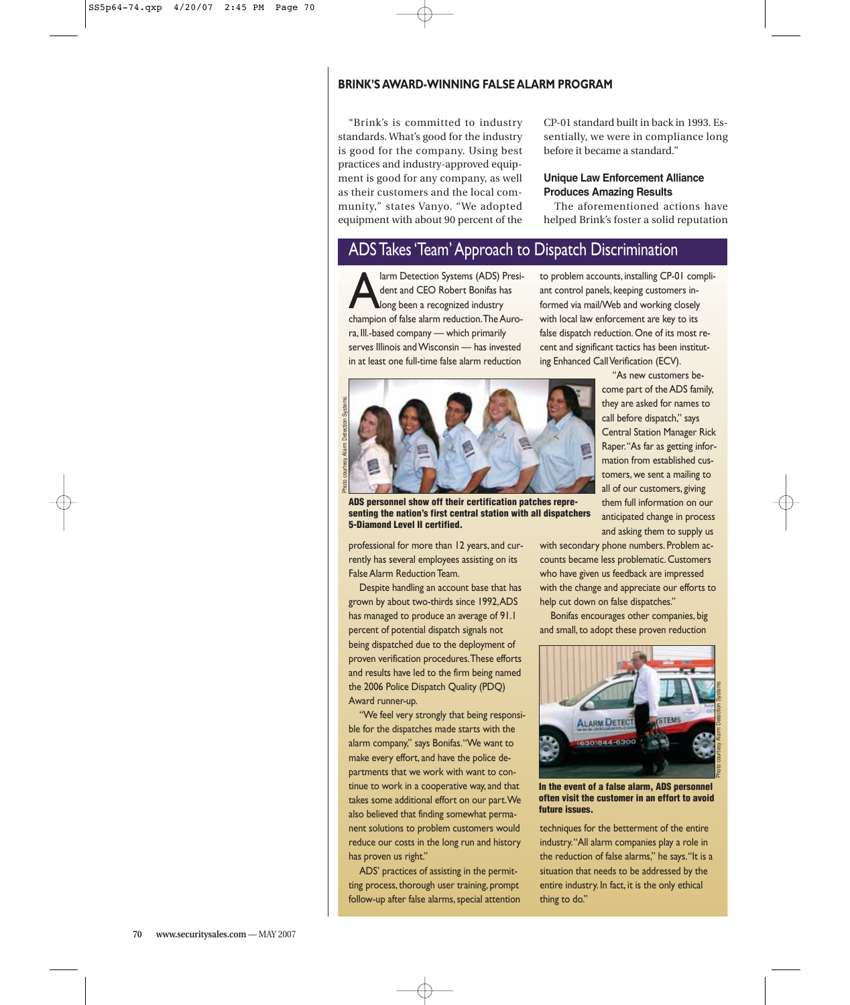#### **BRINK'S AWARD-WINNING FALSE ALARM PROGRAM**

"Brink's is committed to industry standards. What's good for the industry is good for the company. Using best practices and industry-approved equipment is good for any company, as well as their customers and the local community," states Vanyo. "We adopted equipment with about 90 percent of the

CP-01 standard built in back in 1993. Essentially, we were in compliance long before it became a standard."

#### **Unique Law Enforcement Alliance Produces Amazing Results**

The aforementioned actions have helped Brink's foster a solid reputation

# ADS Takes 'Team' Approach to Dispatch Discrimination

Fram Detection Systems (ADS) President and CEO Robert Bonifas has<br>long been a recognized industry<br>champion of false alarm reduction The Aurodent and CEO Robert Bonifas has champion of false alarm reduction.The Aurora, Ill.-based company — which primarily serves Illinois and Wisconsin — has invested in at least one full-time false alarm reduction

to problem accounts, installing CP-01 compliant control panels, keeping customers informed via mail/Web and working closely with local law enforcement are key to its false dispatch reduction. One of its most recent and significant tactics has been instituting Enhanced Call Verification (ECV). "As new customers be-



**ADS personnel show off their certification patches representing the nation's first central station with all dispatchers 5-Diamond Level II certified.**

professional for more than 12 years, and currently has several employees assisting on its False Alarm Reduction Team.

Despite handling an account base that has grown by about two-thirds since 1992,ADS has managed to produce an average of 91.1 percent of potential dispatch signals not being dispatched due to the deployment of proven verification procedures.These efforts and results have led to the firm being named the 2006 Police Dispatch Quality (PDQ) Award runner-up.

"We feel very strongly that being responsible for the dispatches made starts with the alarm company," says Bonifas."We want to make every effort, and have the police departments that we work with want to continue to work in a cooperative way, and that takes some additional effort on our part.We also believed that finding somewhat permanent solutions to problem customers would reduce our costs in the long run and history has proven us right."

ADS' practices of assisting in the permitting process, thorough user training, prompt follow-up after false alarms, special attention

Central Station Manager Rick Raper."As far as getting information from established customers, we sent a mailing to all of our customers, giving them full information on our anticipated change in process and asking them to supply us

come part of the ADS family, they are asked for names to call before dispatch," says

with secondary phone numbers. Problem accounts became less problematic. Customers who have given us feedback are impressed with the change and appreciate our efforts to help cut down on false dispatches."

Bonifas encourages other companies, big and small, to adopt these proven reduction



**In the event of a false alarm, ADS personnel often visit the customer in an effort to avoid future issues.**

techniques for the betterment of the entire industry."All alarm companies play a role in the reduction of false alarms," he says."It is a situation that needs to be addressed by the entire industry. In fact, it is the only ethical thing to do."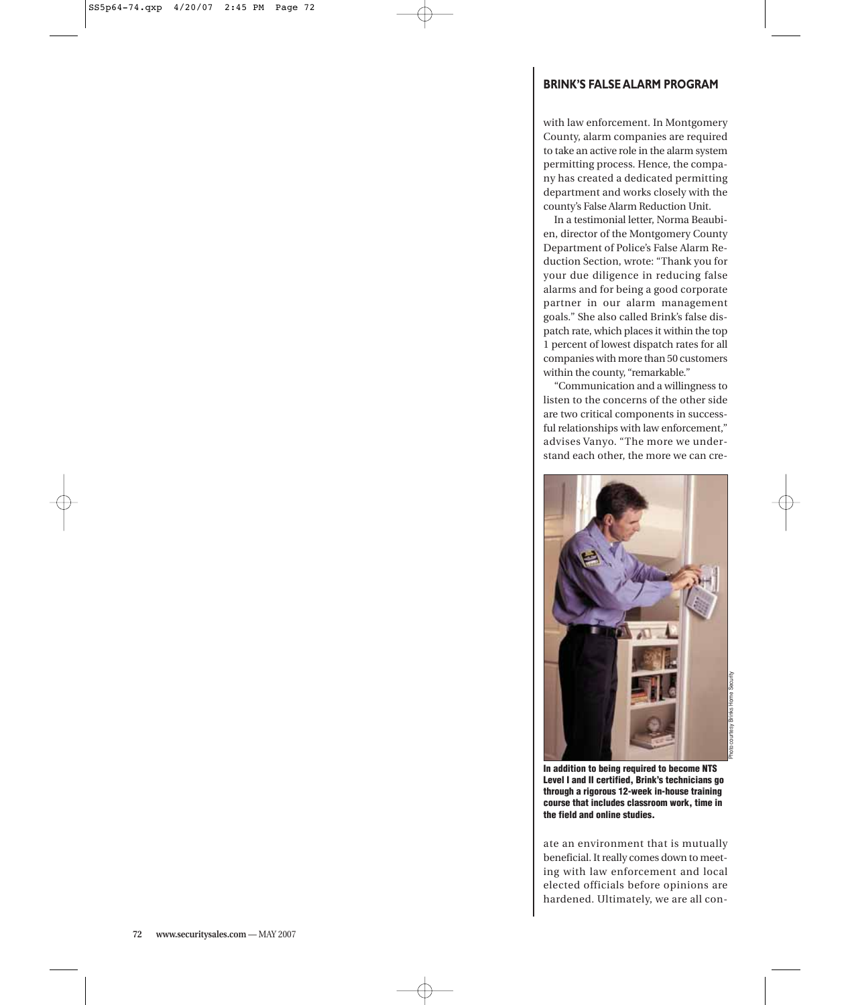# **BRINK'S FALSE ALARM PROGRAM**

with law enforcement. In Montgomery County, alarm companies are required to take an active role in the alarm system permitting process. Hence, the company has created a dedicated permitting department and works closely with the county's False Alarm Reduction Unit.

In a testimonial letter, Norma Beaubien, director of the Montgomery County Department of Police's False Alarm Reduction Section, wrote: "Thank you for your due diligence in reducing false alarms and for being a good corporate partner in our alarm management goals." She also called Brink's false dispatch rate, which places it within the top 1 percent of lowest dispatch rates for all companies with more than 50 customers within the county, "remarkable."

"Communication and a willingness to listen to the concerns of the other side are two critical components in successful relationships with law enforcement," advises Vanyo. "The more we understand each other, the more we can cre-



**In addition to being required to become NTS Level I and II certified, Brink's technicians go through a rigorous 12-week in-house training course that includes classroom work, time in the field and online studies.**

ate an environment that is mutually beneficial. It really comes down to meeting with law enforcement and local elected officials before opinions are hardened. Ultimately, we are all con